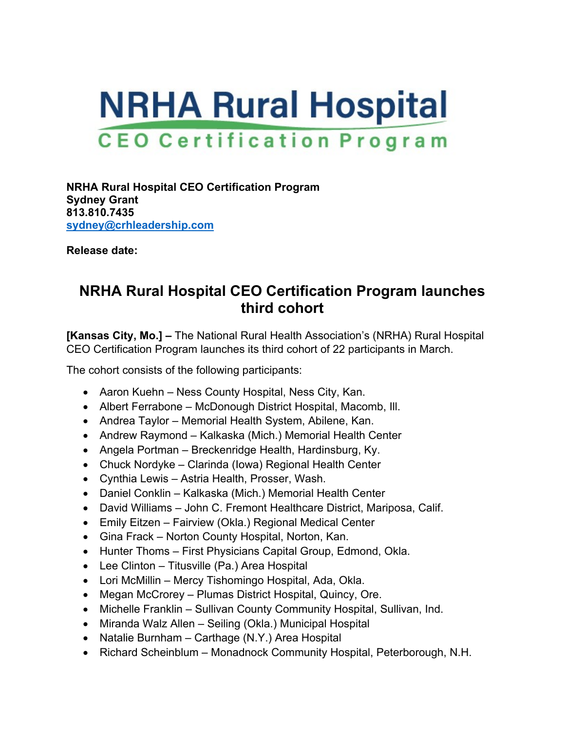## **NRHA Rural Hospital CEO Certification Program**

**NRHA Rural Hospital CEO Certification Program Sydney Grant 813.810.7435 [sydney@crhleadership.com](mailto:ceocertification@gmail.com)**

**Release date:**

## **NRHA Rural Hospital CEO Certification Program launches third cohort**

**[Kansas City, Mo.] –** The National Rural Health Association's (NRHA) Rural Hospital CEO Certification Program launches its third cohort of 22 participants in March.

The cohort consists of the following participants:

- Aaron Kuehn Ness County Hospital, Ness City, Kan.
- Albert Ferrabone McDonough District Hospital, Macomb, Ill.
- Andrea Taylor Memorial Health System, Abilene, Kan.
- Andrew Raymond Kalkaska (Mich.) Memorial Health Center
- Angela Portman Breckenridge Health, Hardinsburg, Ky.
- Chuck Nordyke Clarinda (Iowa) Regional Health Center
- Cynthia Lewis Astria Health, Prosser, Wash.
- Daniel Conklin Kalkaska (Mich.) Memorial Health Center
- David Williams John C. Fremont Healthcare District, Mariposa, Calif.
- Emily Eitzen Fairview (Okla.) Regional Medical Center
- Gina Frack Norton County Hospital, Norton, Kan.
- Hunter Thoms First Physicians Capital Group, Edmond, Okla.
- Lee Clinton Titusville (Pa.) Area Hospital
- Lori McMillin Mercy Tishomingo Hospital, Ada, Okla.
- Megan McCrorey Plumas District Hospital, Quincy, Ore.
- Michelle Franklin Sullivan County Community Hospital, Sullivan, Ind.
- Miranda Walz Allen Seiling (Okla.) Municipal Hospital
- Natalie Burnham Carthage (N.Y.) Area Hospital
- Richard Scheinblum Monadnock Community Hospital, Peterborough, N.H.